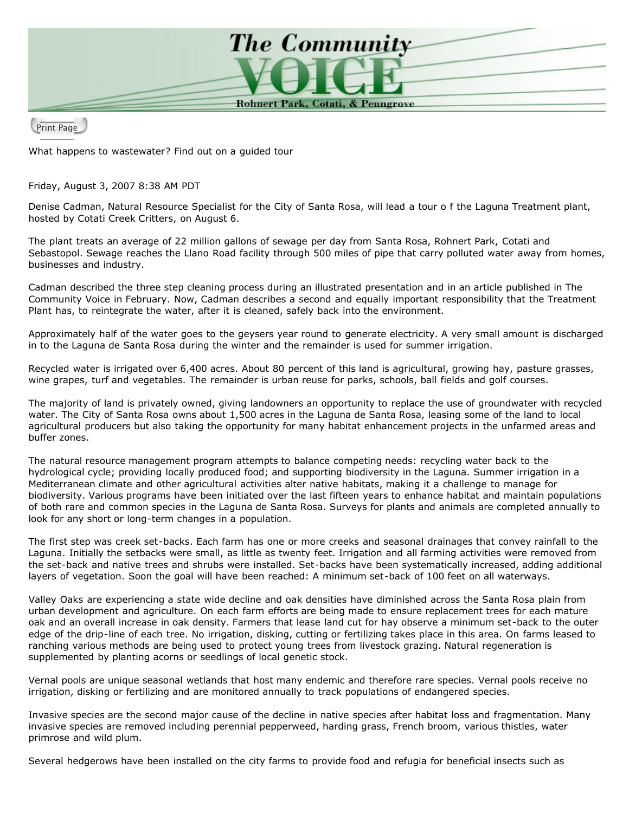

Print Page

What happens to wastewater? Find out on a guided tour

Friday, August 3, 2007 8:38 AM PDT

Denise Cadman, Natural Resource Specialist for the City of Santa Rosa, will lead a tour o f the Laguna Treatment plant, hosted by Cotati Creek Critters, on August 6.

The plant treats an average of 22 million gallons of sewage per day from Santa Rosa, Rohnert Park, Cotati and Sebastopol. Sewage reaches the Llano Road facility through 500 miles of pipe that carry polluted water away from homes, businesses and industry.

Cadman described the three step cleaning process during an illustrated presentation and in an article published in The Community Voice in February. Now, Cadman describes a second and equally important responsibility that the Treatment Plant has, to reintegrate the water, after it is cleaned, safely back into the environment.

Approximately half of the water goes to the geysers year round to generate electricity. A very small amount is discharged in to the Laguna de Santa Rosa during the winter and the remainder is used for summer irrigation.

Recycled water is irrigated over 6,400 acres. About 80 percent of this land is agricultural, growing hay, pasture grasses, wine grapes, turf and vegetables. The remainder is urban reuse for parks, schools, ball fields and golf courses.

The majority of land is privately owned, giving landowners an opportunity to replace the use of groundwater with recycled water. The City of Santa Rosa owns about 1,500 acres in the Laguna de Santa Rosa, leasing some of the land to local agricultural producers but also taking the opportunity for many habitat enhancement projects in the unfarmed areas and buffer zones.

The natural resource management program attempts to balance competing needs: recycling water back to the hydrological cycle; providing locally produced food; and supporting biodiversity in the Laguna. Summer irrigation in a Mediterranean climate and other agricultural activities alter native habitats, making it a challenge to manage for biodiversity. Various programs have been initiated over the last fifteen years to enhance habitat and maintain populations of both rare and common species in the Laguna de Santa Rosa. Surveys for plants and animals are completed annually to look for any short or long-term changes in a population.

The first step was creek set-backs. Each farm has one or more creeks and seasonal drainages that convey rainfall to the Laguna. Initially the setbacks were small, as little as twenty feet. Irrigation and all farming activities were removed from the set-back and native trees and shrubs were installed. Set-backs have been systematically increased, adding additional layers of vegetation. Soon the goal will have been reached: A minimum set-back of 100 feet on all waterways.

Valley Oaks are experiencing a state wide decline and oak densities have diminished across the Santa Rosa plain from urban development and agriculture. On each farm efforts are being made to ensure replacement trees for each mature oak and an overall increase in oak density. Farmers that lease land cut for hay observe a minimum set-back to the outer edge of the drip-line of each tree. No irrigation, disking, cutting or fertilizing takes place in this area. On farms leased to ranching various methods are being used to protect young trees from livestock grazing. Natural regeneration is supplemented by planting acorns or seedlings of local genetic stock.

Vernal pools are unique seasonal wetlands that host many endemic and therefore rare species. Vernal pools receive no irrigation, disking or fertilizing and are monitored annually to track populations of endangered species.

Invasive species are the second major cause of the decline in native species after habitat loss and fragmentation. Many invasive species are removed including perennial pepperweed, harding grass, French broom, various thistles, water primrose and wild plum.

Several hedgerows have been installed on the city farms to provide food and refugia for beneficial insects such as